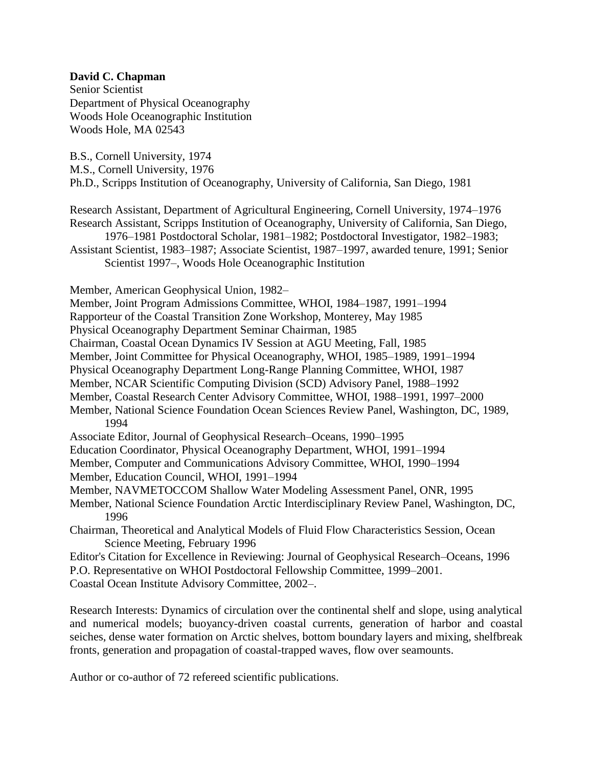## **David C. Chapman**

Senior Scientist Department of Physical Oceanography Woods Hole Oceanographic Institution Woods Hole, MA 02543

B.S., Cornell University, 1974

M.S., Cornell University, 1976

Ph.D., Scripps Institution of Oceanography, University of California, San Diego, 1981

Research Assistant, Department of Agricultural Engineering, Cornell University, 1974–1976 Research Assistant, Scripps Institution of Oceanography, University of California, San Diego,

1976–1981 Postdoctoral Scholar, 1981–1982; Postdoctoral Investigator, 1982–1983; Assistant Scientist, 1983–1987; Associate Scientist, 1987–1997, awarded tenure, 1991; Senior

Scientist 1997–, Woods Hole Oceanographic Institution

Member, American Geophysical Union, 1982–

Member, Joint Program Admissions Committee, WHOI, 1984–1987, 1991–1994

Rapporteur of the Coastal Transition Zone Workshop, Monterey, May 1985

Physical Oceanography Department Seminar Chairman, 1985

Chairman, Coastal Ocean Dynamics IV Session at AGU Meeting, Fall, 1985

Member, Joint Committee for Physical Oceanography, WHOI, 1985–1989, 1991–1994

Physical Oceanography Department Long-Range Planning Committee, WHOI, 1987

Member, NCAR Scientific Computing Division (SCD) Advisory Panel, 1988–1992

- Member, Coastal Research Center Advisory Committee, WHOI, 1988–1991, 1997–2000
- Member, National Science Foundation Ocean Sciences Review Panel, Washington, DC, 1989, 1994

Associate Editor, Journal of Geophysical Research–Oceans, 1990–1995

Education Coordinator, Physical Oceanography Department, WHOI, 1991–1994

Member, Computer and Communications Advisory Committee, WHOI, 1990–1994

Member, Education Council, WHOI, 1991–1994

Member, NAVMETOCCOM Shallow Water Modeling Assessment Panel, ONR, 1995

Member, National Science Foundation Arctic Interdisciplinary Review Panel, Washington, DC, 1996

Chairman, Theoretical and Analytical Models of Fluid Flow Characteristics Session, Ocean Science Meeting, February 1996

Editor's Citation for Excellence in Reviewing: Journal of Geophysical Research–Oceans, 1996 P.O. Representative on WHOI Postdoctoral Fellowship Committee, 1999–2001.

Coastal Ocean Institute Advisory Committee, 2002–.

Research Interests: Dynamics of circulation over the continental shelf and slope, using analytical and numerical models; buoyancy-driven coastal currents, generation of harbor and coastal seiches, dense water formation on Arctic shelves, bottom boundary layers and mixing, shelfbreak fronts, generation and propagation of coastal-trapped waves, flow over seamounts.

Author or co-author of 72 refereed scientific publications.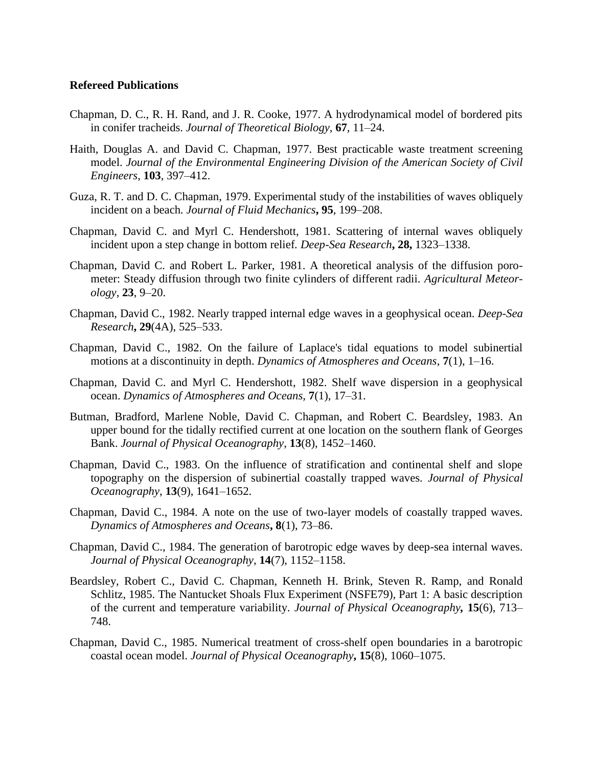## **Refereed Publications**

- Chapman, D. C., R. H. Rand, and J. R. Cooke, 1977. A hydrodynamical model of bordered pits in conifer tracheids. *Journal of Theoretical Biology*, **67**, 11–24.
- Haith, Douglas A. and David C. Chapman, 1977. Best practicable waste treatment screening model. *Journal of the Environmental Engineering Division of the American Society of Civil Engineers*, **103**, 397–412.
- Guza, R. T. and D. C. Chapman, 1979. Experimental study of the instabilities of waves obliquely incident on a beach*. Journal of Fluid Mechanics***, 95**, 199–208.
- Chapman, David C. and Myrl C. Hendershott, 1981. Scattering of internal waves obliquely incident upon a step change in bottom relief*. Deep-Sea Research***, 28,** 1323–1338.
- Chapman, David C. and Robert L. Parker, 1981. A theoretical analysis of the diffusion porometer: Steady diffusion through two finite cylinders of different radii. *Agricultural Meteorology*, **23**, 9–20.
- Chapman, David C., 1982. Nearly trapped internal edge waves in a geophysical ocean. *Deep-Sea Research***, 29**(4A), 525–533.
- Chapman, David C., 1982. On the failure of Laplace's tidal equations to model subinertial motions at a discontinuity in depth. *Dynamics of Atmospheres and Oceans*, **7**(1), 1–16.
- Chapman, David C. and Myrl C. Hendershott, 1982. Shelf wave dispersion in a geophysical ocean. *Dynamics of Atmospheres and Oceans,* **7**(1), 17–31.
- Butman, Bradford, Marlene Noble, David C. Chapman, and Robert C. Beardsley, 1983. An upper bound for the tidally rectified current at one location on the southern flank of Georges Bank. *Journal of Physical Oceanography*, **13**(8), 1452–1460.
- Chapman, David C., 1983. On the influence of stratification and continental shelf and slope topography on the dispersion of subinertial coastally trapped waves. *Journal of Physical Oceanography*, **13**(9), 1641–1652.
- Chapman, David C., 1984. A note on the use of two-layer models of coastally trapped waves. *Dynamics of Atmospheres and Oceans***, 8**(1), 73–86.
- Chapman, David C., 1984. The generation of barotropic edge waves by deep-sea internal waves. *Journal of Physical Oceanography*, **14**(7), 1152–1158.
- Beardsley, Robert C., David C. Chapman, Kenneth H. Brink, Steven R. Ramp, and Ronald Schlitz, 1985. The Nantucket Shoals Flux Experiment (NSFE79), Part 1: A basic description of the current and temperature variability. *Journal of Physical Oceanography,* **15**(6), 713– 748.
- Chapman, David C., 1985. Numerical treatment of cross-shelf open boundaries in a barotropic coastal ocean model. *Journal of Physical Oceanography***, 15**(8), 1060–1075.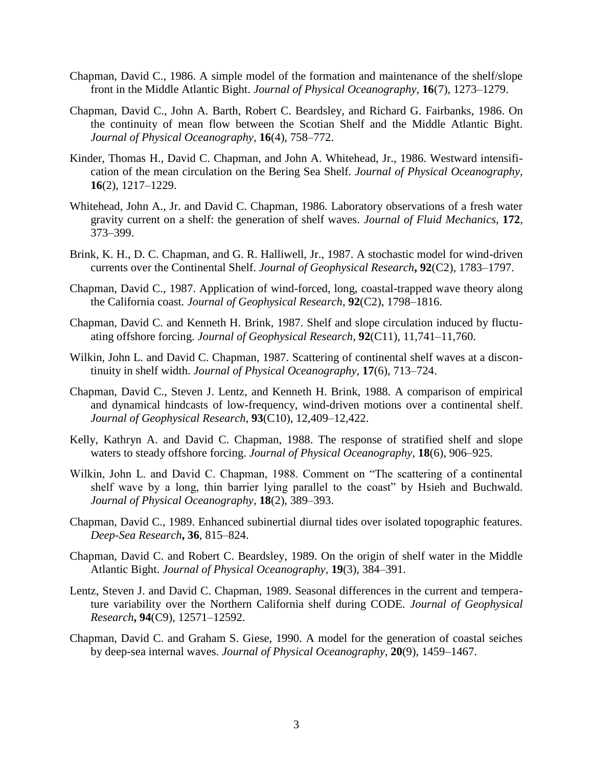- Chapman, David C., 1986. A simple model of the formation and maintenance of the shelf/slope front in the Middle Atlantic Bight. *Journal of Physical Oceanography*, **16**(7), 1273–1279.
- Chapman, David C., John A. Barth, Robert C. Beardsley, and Richard G. Fairbanks, 1986. On the continuity of mean flow between the Scotian Shelf and the Middle Atlantic Bight*. Journal of Physical Oceanography*, **16**(4), 758–772.
- Kinder, Thomas H., David C. Chapman, and John A. Whitehead, Jr., 1986. Westward intensification of the mean circulation on the Bering Sea Shelf*. Journal of Physical Oceanography,* **16**(2), 1217–1229.
- Whitehead, John A., Jr. and David C. Chapman, 1986. Laboratory observations of a fresh water gravity current on a shelf: the generation of shelf waves*. Journal of Fluid Mechanics*, **172**, 373–399.
- Brink, K. H., D. C. Chapman, and G. R. Halliwell, Jr., 1987. A stochastic model for wind-driven currents over the Continental Shelf. *Journal of Geophysical Research***, 92**(C2), 1783–1797.
- Chapman, David C., 1987. Application of wind-forced, long, coastal-trapped wave theory along the California coast*. Journal of Geophysical Research*, **92**(C2), 1798–1816.
- Chapman, David C. and Kenneth H. Brink, 1987. Shelf and slope circulation induced by fluctuating offshore forcing. *Journal of Geophysical Research*, **92**(C11), 11,741–11,760.
- Wilkin, John L. and David C. Chapman, 1987. Scattering of continental shelf waves at a discontinuity in shelf width. *Journal of Physical Oceanography*, **17**(6), 713–724.
- Chapman, David C., Steven J. Lentz, and Kenneth H. Brink, 1988. A comparison of empirical and dynamical hindcasts of low-frequency, wind-driven motions over a continental shelf. *Journal of Geophysical Research*, **93**(C10), 12,409–12,422.
- Kelly, Kathryn A. and David C. Chapman, 1988. The response of stratified shelf and slope waters to steady offshore forcing. *Journal of Physical Oceanography*, **18**(6), 906–925.
- Wilkin, John L. and David C. Chapman, 1988. Comment on "The scattering of a continental shelf wave by a long, thin barrier lying parallel to the coast" by Hsieh and Buchwald. *Journal of Physical Oceanography*, **18**(2), 389–393.
- Chapman, David C., 1989. Enhanced subinertial diurnal tides over isolated topographic features*. Deep-Sea Research***, 36**, 815–824.
- Chapman, David C. and Robert C. Beardsley, 1989. On the origin of shelf water in the Middle Atlantic Bight. *Journal of Physical Oceanography*, **19**(3), 384–391.
- Lentz, Steven J. and David C. Chapman, 1989. Seasonal differences in the current and temperature variability over the Northern California shelf during CODE*. Journal of Geophysical Research***, 94**(C9), 12571–12592.
- Chapman, David C. and Graham S. Giese, 1990. A model for the generation of coastal seiches by deep-sea internal waves. *Journal of Physical Oceanography*, **20**(9), 1459–1467.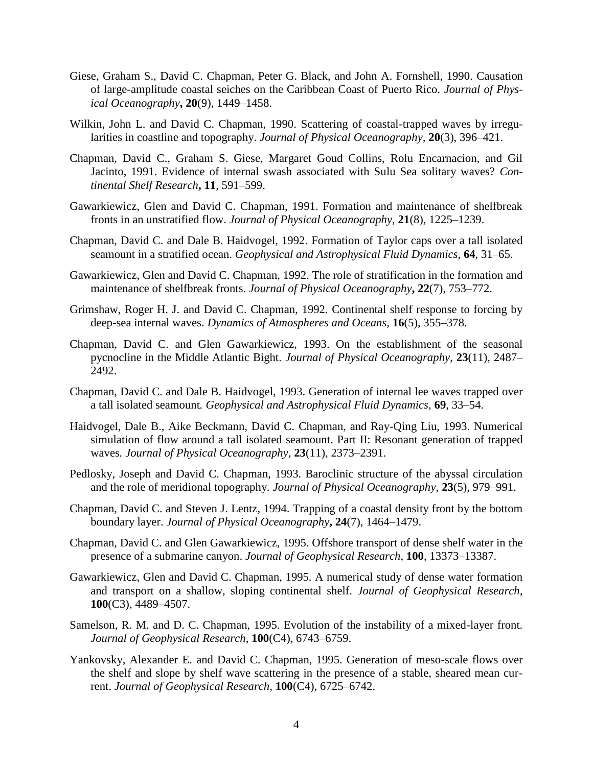- Giese, Graham S., David C. Chapman, Peter G. Black, and John A. Fornshell, 1990. Causation of large-amplitude coastal seiches on the Caribbean Coast of Puerto Rico. *Journal of Physical Oceanography***, 20**(9), 1449–1458.
- Wilkin, John L. and David C. Chapman, 1990. Scattering of coastal-trapped waves by irregularities in coastline and topography. *Journal of Physical Oceanography,* **20**(3), 396–421.
- Chapman, David C., Graham S. Giese, Margaret Goud Collins, Rolu Encarnacion, and Gil Jacinto, 1991. Evidence of internal swash associated with Sulu Sea solitary waves? *Continental Shelf Research***, 11**, 591–599.
- Gawarkiewicz, Glen and David C. Chapman, 1991. Formation and maintenance of shelfbreak fronts in an unstratified flow. *Journal of Physical Oceanography*, **21**(8), 1225–1239.
- Chapman, David C. and Dale B. Haidvogel, 1992. Formation of Taylor caps over a tall isolated seamount in a stratified ocean. *Geophysical and Astrophysical Fluid Dynamics*, **64**, 31–65.
- Gawarkiewicz, Glen and David C. Chapman, 1992. The role of stratification in the formation and maintenance of shelfbreak fronts. *Journal of Physical Oceanography***, 22**(7), 753–772.
- Grimshaw, Roger H. J. and David C. Chapman, 1992. Continental shelf response to forcing by deep-sea internal waves. *Dynamics of Atmospheres and Oceans,* **16**(5), 355–378.
- Chapman, David C. and Glen Gawarkiewicz, 1993. On the establishment of the seasonal pycnocline in the Middle Atlantic Bight. *Journal of Physical Oceanography*, **23**(11), 2487– 2492.
- Chapman, David C. and Dale B. Haidvogel, 1993. Generation of internal lee waves trapped over a tall isolated seamount*. Geophysical and Astrophysical Fluid Dynamics*, **69**, 33–54.
- Haidvogel, Dale B., Aike Beckmann, David C. Chapman, and Ray-Qing Liu, 1993. Numerical simulation of flow around a tall isolated seamount. Part II: Resonant generation of trapped waves*. Journal of Physical Oceanography*, **23**(11), 2373–2391.
- Pedlosky, Joseph and David C. Chapman, 1993. Baroclinic structure of the abyssal circulation and the role of meridional topography*. Journal of Physical Oceanography*, **23**(5), 979–991.
- Chapman, David C. and Steven J. Lentz, 1994. Trapping of a coastal density front by the bottom boundary layer. *Journal of Physical Oceanography***, 24**(7), 1464–1479.
- Chapman, David C. and Glen Gawarkiewicz, 1995. Offshore transport of dense shelf water in the presence of a submarine canyon. *Journal of Geophysical Research*, **100**, 13373–13387.
- Gawarkiewicz, Glen and David C. Chapman, 1995. A numerical study of dense water formation and transport on a shallow, sloping continental shelf. *Journal of Geophysical Research*, **100**(C3), 4489–4507.
- Samelson, R. M. and D. C. Chapman, 1995. Evolution of the instability of a mixed-layer front*. Journal of Geophysical Research*, **100**(C4), 6743–6759.
- Yankovsky, Alexander E. and David C. Chapman, 1995. Generation of meso-scale flows over the shelf and slope by shelf wave scattering in the presence of a stable, sheared mean current. *Journal of Geophysical Research*, **100**(C4), 6725–6742.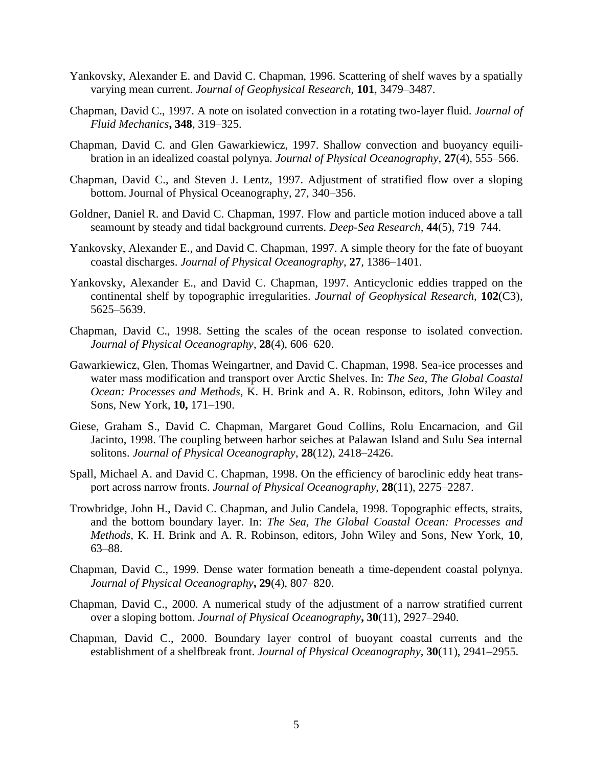- Yankovsky, Alexander E. and David C. Chapman, 1996. Scattering of shelf waves by a spatially varying mean current. *Journal of Geophysical Research*, **101**, 3479–3487.
- Chapman, David C., 1997. A note on isolated convection in a rotating two-layer fluid. *Journal of Fluid Mechanics***, 348**, 319–325.
- Chapman, David C. and Glen Gawarkiewicz, 1997. Shallow convection and buoyancy equilibration in an idealized coastal polynya. *Journal of Physical Oceanography,* **27**(4), 555–566.
- Chapman, David C., and Steven J. Lentz, 1997. Adjustment of stratified flow over a sloping bottom. Journal of Physical Oceanography, 27, 340–356.
- Goldner, Daniel R. and David C. Chapman, 1997. Flow and particle motion induced above a tall seamount by steady and tidal background currents. *Deep-Sea Research,* **44**(5), 719–744.
- Yankovsky, Alexander E., and David C. Chapman, 1997. A simple theory for the fate of buoyant coastal discharges. *Journal of Physical Oceanography*, **27**, 1386–1401.
- Yankovsky, Alexander E., and David C. Chapman, 1997. Anticyclonic eddies trapped on the continental shelf by topographic irregularities. *Journal of Geophysical Research*, **102**(C3), 5625–5639.
- Chapman, David C., 1998. Setting the scales of the ocean response to isolated convection*. Journal of Physical Oceanography*, **28**(4), 606–620.
- Gawarkiewicz, Glen, Thomas Weingartner, and David C. Chapman, 1998. Sea-ice processes and water mass modification and transport over Arctic Shelves. In: *The Sea, The Global Coastal Ocean: Processes and Methods*, K. H. Brink and A. R. Robinson, editors, John Wiley and Sons, New York, **10,** 171–190.
- Giese, Graham S., David C. Chapman, Margaret Goud Collins, Rolu Encarnacion, and Gil Jacinto, 1998. The coupling between harbor seiches at Palawan Island and Sulu Sea internal solitons. *Journal of Physical Oceanography*, **28**(12), 2418–2426.
- Spall, Michael A. and David C. Chapman, 1998. On the efficiency of baroclinic eddy heat transport across narrow fronts. *Journal of Physical Oceanography*, **28**(11), 2275–2287.
- Trowbridge, John H., David C. Chapman, and Julio Candela, 1998. Topographic effects, straits, and the bottom boundary layer. In: *The Sea, The Global Coastal Ocean: Processes and Methods,* K. H. Brink and A. R. Robinson, editors, John Wiley and Sons, New York, **10**, 63–88.
- Chapman, David C., 1999. Dense water formation beneath a time-dependent coastal polynya. *Journal of Physical Oceanography***, 29**(4), 807–820.
- Chapman, David C., 2000. A numerical study of the adjustment of a narrow stratified current over a sloping bottom. *Journal of Physical Oceanography***, 30**(11), 2927–2940.
- Chapman, David C., 2000. Boundary layer control of buoyant coastal currents and the establishment of a shelfbreak front. *Journal of Physical Oceanography*, **30**(11), 2941–2955.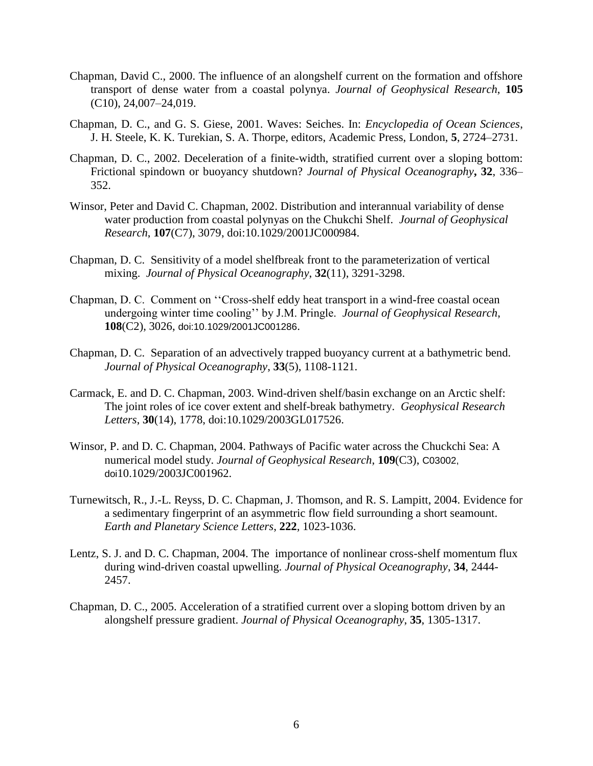- Chapman, David C., 2000. The influence of an alongshelf current on the formation and offshore transport of dense water from a coastal polynya. *Journal of Geophysical Research*, **105**  (C10), 24,007–24,019.
- Chapman, D. C., and G. S. Giese, 2001. Waves: Seiches. In: *Encyclopedia of Ocean Sciences*, J. H. Steele, K. K. Turekian, S. A. Thorpe, editors, Academic Press, London, **5**, 2724–2731.
- Chapman, D. C., 2002. Deceleration of a finite-width, stratified current over a sloping bottom: Frictional spindown or buoyancy shutdown? *Journal of Physical Oceanography***, 32**, 336– 352.
- Winsor, Peter and David C. Chapman, 2002. Distribution and interannual variability of dense water production from coastal polynyas on the Chukchi Shelf. *Journal of Geophysical Research*, **107**(C7), 3079, doi:10.1029/2001JC000984.
- Chapman, D. C. Sensitivity of a model shelfbreak front to the parameterization of vertical mixing. *Journal of Physical Oceanography*, **32**(11), 3291-3298.
- Chapman, D. C. Comment on ''Cross-shelf eddy heat transport in a wind-free coastal ocean undergoing winter time cooling'' by J.M. Pringle. *Journal of Geophysical Research*, **108**(C2), 3026, doi:10.1029/2001JC001286.
- Chapman, D. C. Separation of an advectively trapped buoyancy current at a bathymetric bend. *Journal of Physical Oceanography*, **33**(5), 1108-1121.
- Carmack, E. and D. C. Chapman, 2003. Wind-driven shelf/basin exchange on an Arctic shelf: The joint roles of ice cover extent and shelf-break bathymetry. *Geophysical Research Letters*, **30**(14), 1778, doi:10.1029/2003GL017526.
- Winsor, P. and D. C. Chapman, 2004. Pathways of Pacific water across the Chuckchi Sea: A numerical model study. *Journal of Geophysical Research*, **109**(C3), C03002, doi10.1029/2003JC001962.
- Turnewitsch, R., J.-L. Reyss, D. C. Chapman, J. Thomson, and R. S. Lampitt, 2004. Evidence for a sedimentary fingerprint of an asymmetric flow field surrounding a short seamount. *Earth and Planetary Science Letters*, **222**, 1023-1036.
- Lentz, S. J. and D. C. Chapman, 2004. The importance of nonlinear cross-shelf momentum flux during wind-driven coastal upwelling. *Journal of Physical Oceanography*, **34**, 2444- 2457.
- Chapman, D. C., 2005. Acceleration of a stratified current over a sloping bottom driven by an alongshelf pressure gradient. *Journal of Physical Oceanography*, **35**, 1305-1317.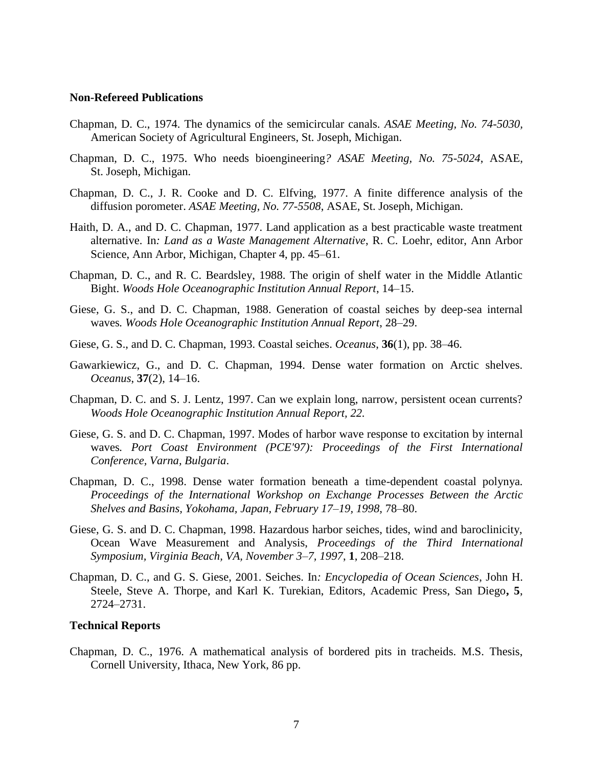## **Non-Refereed Publications**

- Chapman, D. C., 1974. The dynamics of the semicircular canals. *ASAE Meeting, No. 74-5030,*  American Society of Agricultural Engineers, St. Joseph, Michigan.
- Chapman, D. C., 1975. Who needs bioengineering*? ASAE Meeting, No. 75-5024*, ASAE, St. Joseph, Michigan.
- Chapman, D. C., J. R. Cooke and D. C. Elfving, 1977. A finite difference analysis of the diffusion porometer. *ASAE Meeting, No. 77-5508*, ASAE, St. Joseph, Michigan.
- Haith, D. A., and D. C. Chapman, 1977. Land application as a best practicable waste treatment alternative. In*: Land as a Waste Management Alternative*, R. C. Loehr, editor, Ann Arbor Science, Ann Arbor, Michigan, Chapter 4, pp. 45–61.
- Chapman, D. C., and R. C. Beardsley, 1988. The origin of shelf water in the Middle Atlantic Bight. *Woods Hole Oceanographic Institution Annual Report*, 14–15.
- Giese, G. S., and D. C. Chapman, 1988. Generation of coastal seiches by deep-sea internal waves*. Woods Hole Oceanographic Institution Annual Report*, 28–29.
- Giese, G. S., and D. C. Chapman, 1993. Coastal seiches. *Oceanus*, **36**(1), pp. 38–46.
- Gawarkiewicz, G., and D. C. Chapman, 1994. Dense water formation on Arctic shelves. *Oceanus*, **37**(2), 14–16.
- Chapman, D. C. and S. J. Lentz, 1997. Can we explain long, narrow, persistent ocean currents? *Woods Hole Oceanographic Institution Annual Report, 22.*
- Giese, G. S. and D. C. Chapman, 1997. Modes of harbor wave response to excitation by internal waves*. Port Coast Environment (PCE'97): Proceedings of the First International Conference, Varna, Bulgaria*.
- Chapman, D. C., 1998. Dense water formation beneath a time-dependent coastal polynya*. Proceedings of the International Workshop on Exchange Processes Between the Arctic Shelves and Basins, Yokohama, Japan, February 17*–*19, 1998,* 78–80.
- Giese, G. S. and D. C. Chapman, 1998. Hazardous harbor seiches, tides, wind and baroclinicity, Ocean Wave Measurement and Analysis, *Proceedings of the Third International Symposium, Virginia Beach, VA, November 3*–*7, 1997*, **1**, 208–218.
- Chapman, D. C., and G. S. Giese, 2001. Seiches. In*: Encyclopedia of Ocean Sciences*, John H. Steele, Steve A. Thorpe, and Karl K. Turekian, Editors, Academic Press, San Diego**, 5**, 2724–2731.

## **Technical Reports**

Chapman, D. C., 1976. A mathematical analysis of bordered pits in tracheids. M.S. Thesis, Cornell University, Ithaca, New York, 86 pp.